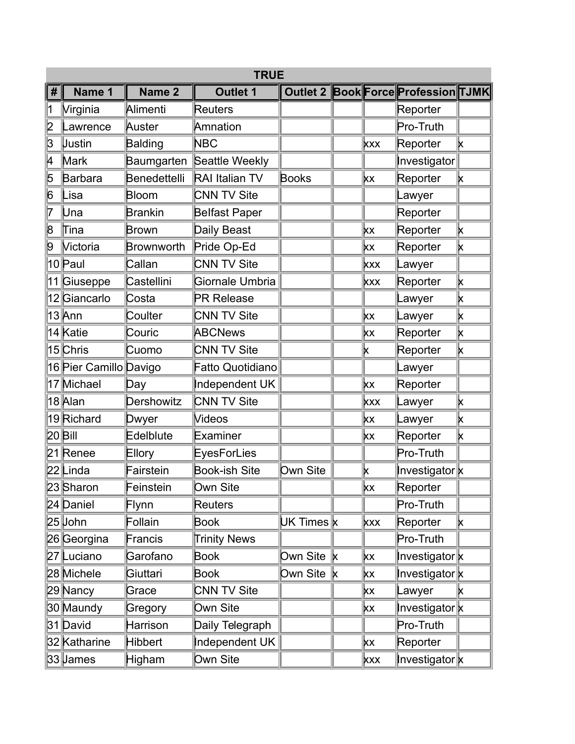| <b>TRUE</b> |                        |                   |                      |                 |          |            |                                       |          |  |
|-------------|------------------------|-------------------|----------------------|-----------------|----------|------------|---------------------------------------|----------|--|
| #           | Name 1                 | Name 2            | <b>Outlet 1</b>      | <b>Outlet 2</b> |          |            | <b>Book Force Profession TJMK</b>     |          |  |
| 1           | Virginia               | Alimenti          | Reuters              |                 |          |            | Reporter                              |          |  |
| 2           | awrence                | Auster            | Amnation             |                 |          |            | Pro-Truth                             |          |  |
| ß           | Uustin                 | Balding           | <b>NBC</b>           |                 |          | <b>XXX</b> | Reporter                              | k        |  |
| 14          | Mark                   | Baumgarten        | Seattle Weekly       |                 |          |            | Investigator                          |          |  |
| 5           | <b>Barbara</b>         | Benedettelli      | RAI Italian TV       | <b>Books</b>    |          | kх         | Reporter                              | ΙX       |  |
| 6           | _isa                   | Bloom             | <b>CNN TV Site</b>   |                 |          |            | .awyer                                |          |  |
| 17          | Una                    | <b>Brankin</b>    | Belfast Paper        |                 |          |            | Reporter                              |          |  |
| 8           | ∏ina                   | Brown             | Daily Beast          |                 |          | kχ         | Reporter                              | X        |  |
| 9           | Victoria               | <b>Brownworth</b> | Pride Op-Ed          |                 |          | kχ         | Reporter                              | ļΧ       |  |
|             | 10  Paul               | Callan            | <b>CNN TV Site</b>   |                 |          | xxx        | awyer <sub>-</sub>                    |          |  |
|             | 11 Giuseppe            | Castellini        | Giornale Umbria      |                 |          | <b>XXX</b> | Reporter                              | X        |  |
|             | 12 Giancarlo           | Costa             | <b>PR Release</b>    |                 |          |            | awyer.                                | ΙX       |  |
|             | 13∥Ann                 | Coulter           | <b>CNN TV Site</b>   |                 |          | kх         | awyer.                                | X        |  |
|             | 14 Katie               | Couric            | <b>ABCNews</b>       |                 |          | ķχ         | Reporter                              | X        |  |
|             | 15 Chris               | Cuomo             | <b>CNN TV Site</b>   |                 |          | κ          | Reporter                              | X        |  |
|             | 16 Pier Camillo Davigo |                   | Fatto Quotidiano     |                 |          |            | awyer.                                |          |  |
|             | 17 Michael             | Day               | Independent UK       |                 |          | kx         | Reporter                              |          |  |
|             | 18Alan                 | Dershowitz        | <b>CNN TV Site</b>   |                 |          | <b>XXX</b> | awyer                                 | ΙX       |  |
|             | 19 Richard             | Dwyer             | Videos               |                 |          | kх         | awyer                                 | ΙX       |  |
|             | 20 Bill                | Edelblute         | Examiner             |                 |          | kx         | Reporter                              | ΙX       |  |
|             | 21 Renee               | Ellory            | EyesForLies          |                 |          |            | Pro-Truth                             |          |  |
|             | 22Linda                | Fairstein         | <b>Book-ish Site</b> | Own Site        |          | k          | Investigator∣x                        |          |  |
|             | 23 Sharon∣             | Feinstein         | <b>Own Site</b>      |                 |          | ķχ         | Reporter                              |          |  |
|             | 24 Daniel              | Flynn             | <b>Reuters</b>       |                 |          |            | Pro-Truth                             |          |  |
|             | ∥25∥John               | Follain           | <b>Book</b>          | UK Times∦x      |          | <b>XXX</b> | Reporter                              | <b>x</b> |  |
|             | 26 Georgina            | Francis           | <b>Trinity News</b>  |                 |          |            | Pro-Truth                             |          |  |
|             | 27 Luciano             | Garofano          | <b>Book</b>          | Own Site        | <b>X</b> | kх         | Investigator $\vert \mathsf{x} \vert$ |          |  |
|             | 28 Michele             | Giuttari          | <b>Book</b>          | Own Site        |          | ķχ         | Investigator $\vert \mathsf{x} \vert$ |          |  |
|             | 29 Nancy               | Grace             | <b>CNN TV Site</b>   |                 |          | ķχ         | Lawyer                                |          |  |
|             | 30 Maundy              | Gregory           | Own Site             |                 |          | ķχ         | Investigator <sup>k</sup>             |          |  |
|             | 31 David               | Harrison          | Daily Telegraph      |                 |          |            | Pro-Truth                             |          |  |
|             | 32 Katharine           | <b>Hibbert</b>    | Independent UK       |                 |          | ķχ         | Reporter                              |          |  |
|             | ∥33∥James              | Higham            | Own Site             |                 |          | <b>XXX</b> | Investigator $\vert \mathsf{x} \vert$ |          |  |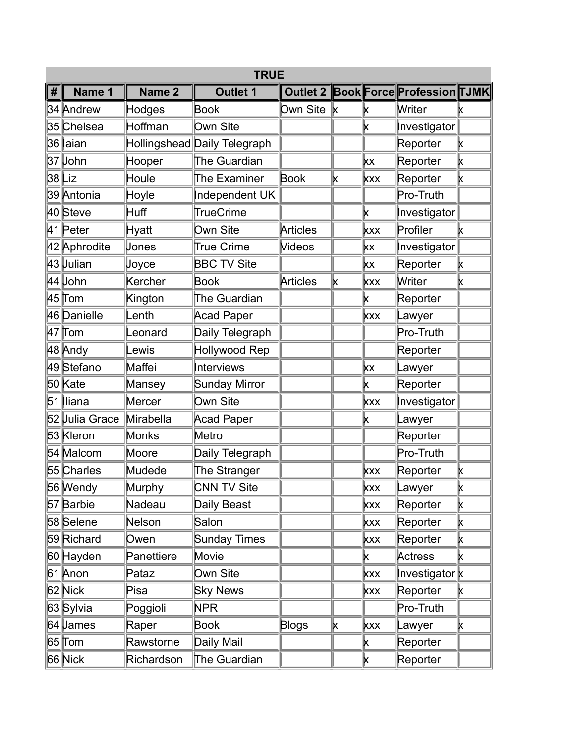| <b>TRUE</b> |                |            |                              |                 |   |            |                                   |    |  |
|-------------|----------------|------------|------------------------------|-----------------|---|------------|-----------------------------------|----|--|
| #           | Name 1         | Name 2     | <b>Outlet 1</b>              | <b>Outlet 2</b> |   |            | <b>Book Force Profession TJMK</b> |    |  |
|             | 34 Andrew      | Hodges     | Book                         | Own Site        | k | X          | Writer                            |    |  |
|             | 35 Chelsea     | Hoffman    | Own Site                     |                 |   | K          | Investigator                      |    |  |
|             | 36 aian        |            | Hollingshead Daily Telegraph |                 |   |            | Reporter                          | ΙX |  |
|             | 37∥John        | Hooper     | The Guardian                 |                 |   | kх         | Reporter                          | K  |  |
|             | 38   Liz       | Houle      | The Examiner                 | <b>Book</b>     | K | <b>xxx</b> | Reporter                          | ΙX |  |
|             | 39 Antonia     | Hoyle      | Independent UK               |                 |   |            | Pro-Truth                         |    |  |
|             | 40 Steve       | Huff       | <b>TrueCrime</b>             |                 |   | X          | Investigator                      |    |  |
|             | 41 Peter       | Hyatt      | Own Site                     | Articles        |   | XXX        | Profiler                          |    |  |
|             | 42 Aphrodite   | Uones      | True Crime                   | Videos          |   | kχ         | Investigator                      |    |  |
|             | ∣43 µulian     | Uoyce      | <b>BBC TV Site</b>           |                 |   | XХ         | Reporter                          | ΙX |  |
|             | ∣44∥John       | Kercher    | Book                         | Articles        | X | <b>XXX</b> | Writer                            | K. |  |
|             | 45 ∏om         | Kington    | The Guardian                 |                 |   | κ          | Reporter                          |    |  |
|             | 46 Danielle    | enth.      | <b>Acad Paper</b>            |                 |   | <b>XXX</b> | awyer                             |    |  |
|             | 47  Tom        | eonard     | Daily Telegraph              |                 |   |            | Pro-Truth                         |    |  |
|             | ∣48∥Andy       | ewis       | Hollywood Rep                |                 |   |            | Reporter                          |    |  |
|             | 49 Stefano     | Maffei     | Interviews                   |                 |   | ķχ         | awyer.                            |    |  |
|             | 50 Kate        | Mansey     | Sunday Mirror                |                 |   | K          | Reporter                          |    |  |
|             | 51 lliana      | Mercer     | Own Site                     |                 |   | <b>xxx</b> | Investigator                      |    |  |
|             | 52 Uulia Grace | Mirabella  | Acad Paper                   |                 |   | Χ          | awyer                             |    |  |
|             | 53 Kleron      | Monks      | Metro                        |                 |   |            | Reporter                          |    |  |
|             | 54 Malcom      | Moore      | Daily Telegraph              |                 |   |            | Pro-Truth                         |    |  |
|             | 55 Charles     | Mudede     | The Stranger                 |                 |   | xxx        | Reporter                          | K  |  |
|             | 56 Wendy       | Murphy     | CNN TV Site                  |                 |   | <b>XXX</b> | Lawyer                            |    |  |
|             | 57 Barbie      | Nadeau     | Daily Beast                  |                 |   | <b>XXX</b> | Reporter                          |    |  |
|             | 58 Selene      | Nelson     | Salon                        |                 |   | <b>xxx</b> | Reporter                          | ⋉  |  |
|             | 59 Richard     | Owen       | Sunday Times                 |                 |   | <b>XXX</b> | Reporter                          |    |  |
|             | 60 Hayden      | Panettiere | Movie                        |                 |   | X          | Actress                           |    |  |
|             | 61 Anon        | Pataz      | Own Site                     |                 |   | XXX        | Investigator k                    |    |  |
|             | 62 Nick        | Pisa       | <b>Sky News</b>              |                 |   | <b>XXX</b> | Reporter                          | ļΧ |  |
|             | 63 Sylvia      | Poggioli   | <b>NPR</b>                   |                 |   |            | Pro-Truth                         |    |  |
|             | 64 James       | Raper      | <b>Book</b>                  | <b>Blogs</b>    | κ | <b>xxx</b> | _awyer                            | K, |  |
|             | $ 65 $ Tom     | Rawstorne  | Daily Mail                   |                 |   | X          | Reporter                          |    |  |
|             | 66 Nick        | Richardson | The Guardian                 |                 |   | k.         | Reporter                          |    |  |